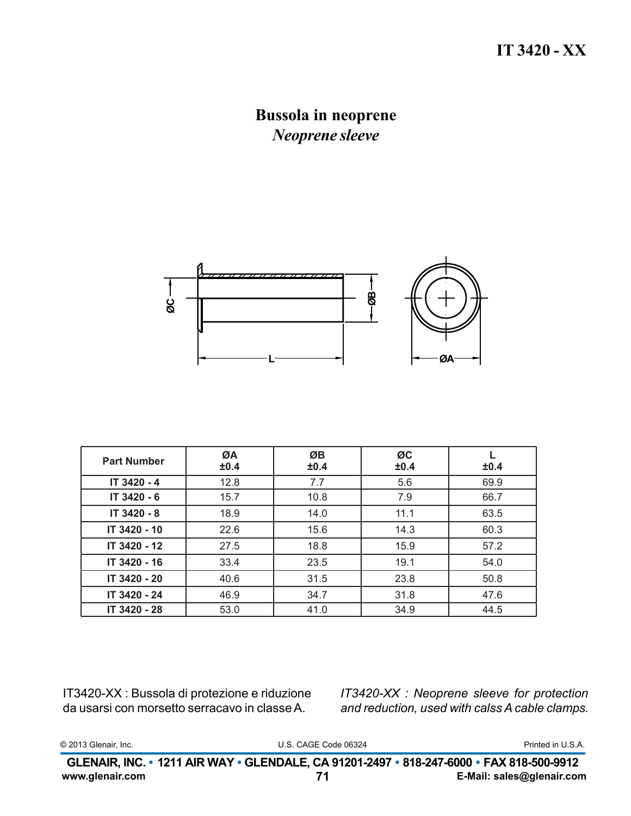## **Bussola in neoprene** *Neoprene sleeve*



| <b>Part Number</b> | ØA<br>±0.4 | ØB<br>±0.4 | ØC<br>±0.4 | ±0.4 |
|--------------------|------------|------------|------------|------|
| IT 3420 - 4        | 12.8       | 7.7        | 5.6        | 69.9 |
| IT 3420 - 6        | 15.7       | 10.8       | 7.9        | 66.7 |
| IT 3420 - 8        | 18.9       | 14.0       | 11.1       | 63.5 |
| IT 3420 - 10       | 22.6       | 15.6       | 14.3       | 60.3 |
| IT 3420 - 12       | 27.5       | 18.8       | 15.9       | 57.2 |
| IT 3420 - 16       | 33.4       | 23.5       | 19.1       | 54.0 |
| IT 3420 - 20       | 40.6       | 31.5       | 23.8       | 50.8 |
| IT 3420 - 24       | 46.9       | 34.7       | 31.8       | 47.6 |
| IT 3420 - 28       | 53.0       | 41.0       | 34.9       | 44.5 |

IT3420-XX : Bussola di protezione e riduzione da usarsi con morsetto serracavo in classe A.

*IT3420-XX : Neoprene sleeve for protection and reduction, used with calss A cable clamps.*

|  | © 2013 Glenair, Inc. |  |
|--|----------------------|--|
|--|----------------------|--|

U.S. CAGE Code 06324 © 2013 Glenair, Inc. Printed in U.S.A.